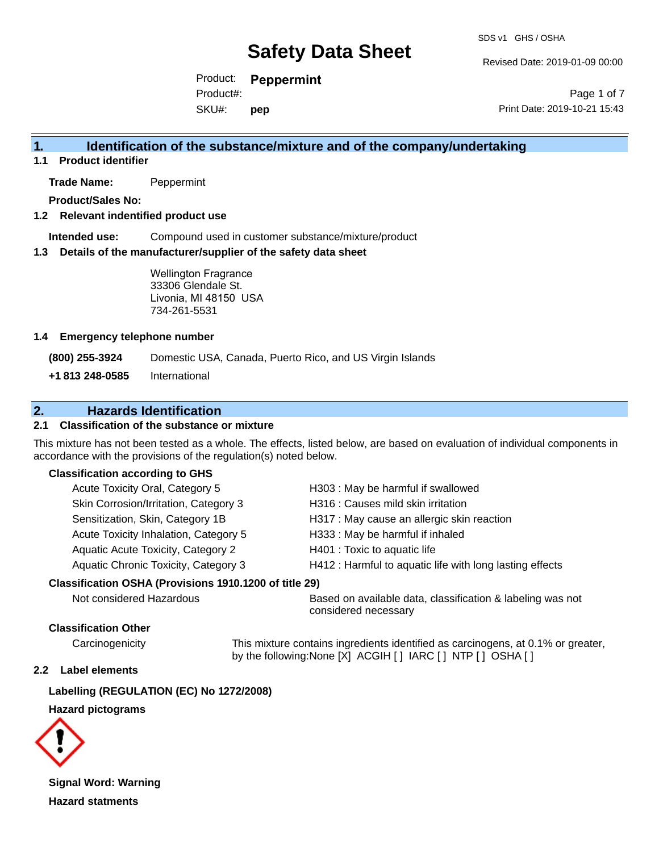Revised Date: 2019-01-09 00:00

Product: **Peppermint** Product#:

SKU#: **pep**

Page 1 of 7 Print Date: 2019-10-21 15:43

### **1. Identification of the substance/mixture and of the company/undertaking**

**1.1 Product identifier**

**Trade Name:** Peppermint

**Product/Sales No:**

#### **1.2 Relevant indentified product use**

**Intended use:** Compound used in customer substance/mixture/product

#### **1.3 Details of the manufacturer/supplier of the safety data sheet**

Wellington Fragrance 33306 Glendale St. Livonia, MI 48150 USA 734-261-5531

#### **1.4 Emergency telephone number**

**(800) 255-3924** Domestic USA, Canada, Puerto Rico, and US Virgin Islands

**+1 813 248-0585** International

### **2. Hazards Identification**

#### **2.1 Classification of the substance or mixture**

This mixture has not been tested as a whole. The effects, listed below, are based on evaluation of individual components in accordance with the provisions of the regulation(s) noted below.

#### **Classification according to GHS**

| Acute Toxicity Oral, Category 5       | H303 : May be harmful if swallowed                      |
|---------------------------------------|---------------------------------------------------------|
| Skin Corrosion/Irritation, Category 3 | H316 : Causes mild skin irritation                      |
| Sensitization, Skin, Category 1B      | H317 : May cause an allergic skin reaction              |
| Acute Toxicity Inhalation, Category 5 | H333: May be harmful if inhaled                         |
| Aquatic Acute Toxicity, Category 2    | H401 : Toxic to aquatic life                            |
| Aquatic Chronic Toxicity, Category 3  | H412: Harmful to aquatic life with long lasting effects |
|                                       |                                                         |

#### **Classification OSHA (Provisions 1910.1200 of title 29)**

Not considered Hazardous **Based on available data, classification & labeling was not** considered necessary

#### **Classification Other**

Carcinogenicity This mixture contains ingredients identified as carcinogens, at 0.1% or greater, by the following:None [X] ACGIH [ ] IARC [ ] NTP [ ] OSHA [ ]

#### **2.2 Label elements**

**Labelling (REGULATION (EC) No 1272/2008)**

#### **Hazard pictograms**



**Signal Word: Warning Hazard statments**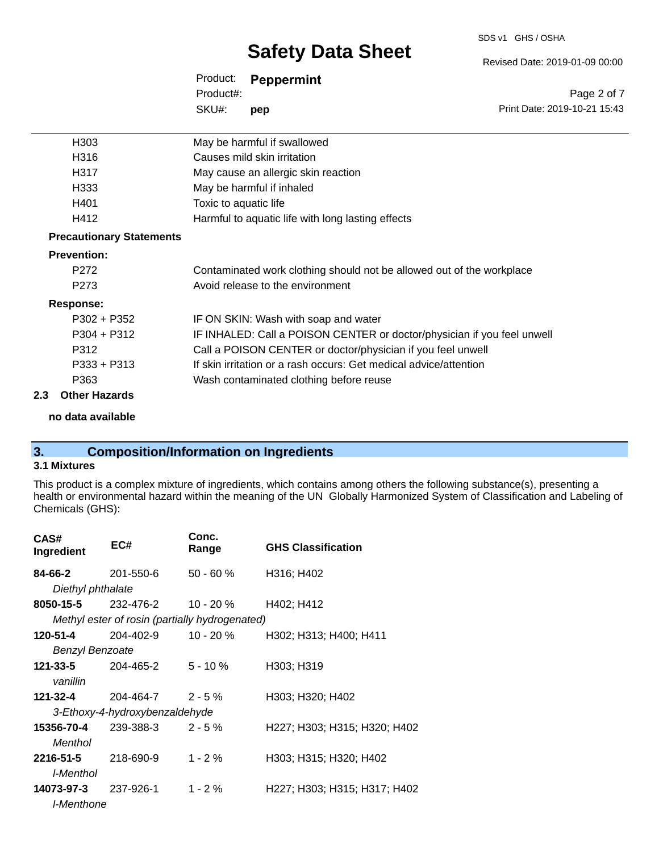SDS v1 GHS / OSHA

Revised Date: 2019-01-09 00:00

Print Date: 2019-10-21 15:43

Page 2 of 7

| Product:  | <b>Peppermint</b> |
|-----------|-------------------|
| Product#: |                   |
| SKU#:     | pep               |

|                                 | H <sub>303</sub>   | May be harmful if swallowed                                             |
|---------------------------------|--------------------|-------------------------------------------------------------------------|
|                                 | H316               | Causes mild skin irritation                                             |
|                                 | H317               | May cause an allergic skin reaction                                     |
|                                 | H333               | May be harmful if inhaled                                               |
|                                 | H401               | Toxic to aquatic life                                                   |
|                                 | H412               | Harmful to aquatic life with long lasting effects                       |
| <b>Precautionary Statements</b> |                    |                                                                         |
|                                 | <b>Prevention:</b> |                                                                         |
|                                 | P <sub>272</sub>   | Contaminated work clothing should not be allowed out of the workplace   |
|                                 | P <sub>273</sub>   | Avoid release to the environment                                        |
|                                 | Response:          |                                                                         |
|                                 | $P302 + P352$      | IF ON SKIN: Wash with soap and water                                    |
|                                 | $P304 + P312$      | IF INHALED: Call a POISON CENTER or doctor/physician if you feel unwell |
|                                 | P312               | Call a POISON CENTER or doctor/physician if you feel unwell             |
|                                 | $P333 + P313$      | If skin irritation or a rash occurs: Get medical advice/attention       |
|                                 | P363               | Wash contaminated clothing before reuse                                 |
|                                 |                    |                                                                         |

#### **2.3 Other Hazards**

**no data available**

# **3. Composition/Information on Ingredients**

#### **3.1 Mixtures**

This product is a complex mixture of ingredients, which contains among others the following substance(s), presenting a health or environmental hazard within the meaning of the UN Globally Harmonized System of Classification and Labeling of Chemicals (GHS):

| CAS#<br>Ingredient        | EC#                                            | Conc.<br>Range | <b>GHS Classification</b>    |
|---------------------------|------------------------------------------------|----------------|------------------------------|
| <b>84-66-2</b> 201-550-6  |                                                | $50 - 60 \%$   | H316; H402                   |
| Diethyl phthalate         |                                                |                |                              |
|                           | <b>8050-15-5</b> 232-476-2                     | 10 - 20 %      | H402; H412                   |
|                           | Methyl ester of rosin (partially hydrogenated) |                |                              |
| 120-51-4                  | 204-402-9                                      | 10 - 20 %      | H302; H313; H400; H411       |
| <b>Benzyl Benzoate</b>    |                                                |                |                              |
| <b>121-33-5</b> 204-465-2 |                                                | 5 - 10 %       | H303; H319                   |
| vanillin                  |                                                |                |                              |
|                           | <b>121-32-4</b> 204-464-7 2 - 5 %              |                | H303; H320; H402             |
|                           | 3-Ethoxy-4-hydroxybenzaldehyde                 |                |                              |
| 15356-70-4                | 239-388-3                                      | $2 - 5%$       | H227; H303; H315; H320; H402 |
| Menthol                   |                                                |                |                              |
| 2216-51-5                 | 218-690-9                                      | $1 - 2%$       | H303; H315; H320; H402       |
| l-Menthol                 |                                                |                |                              |
| 14073-97-3                | 237-926-1                                      | $1 - 2 \%$     | H227; H303; H315; H317; H402 |
| I-Menthone                |                                                |                |                              |
|                           |                                                |                |                              |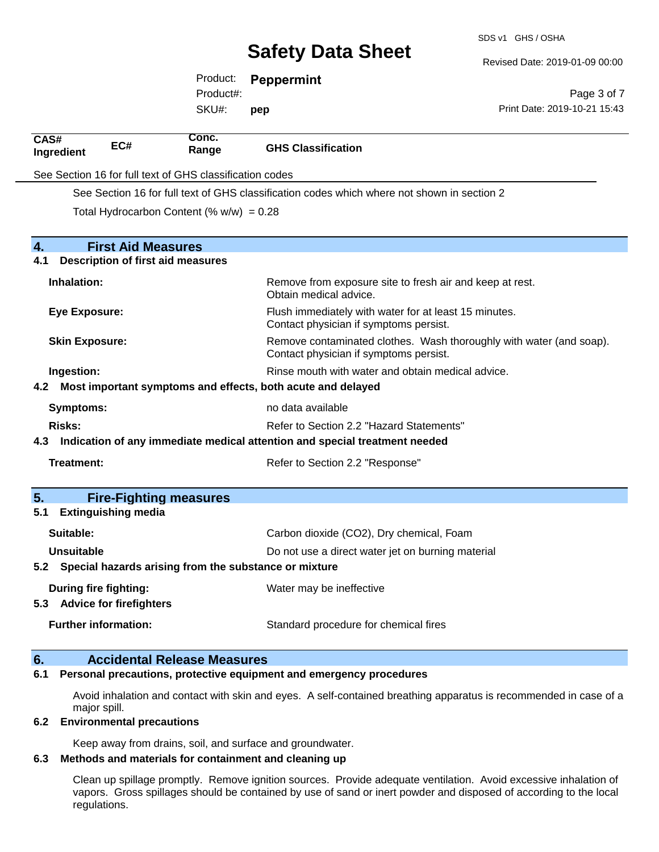SDS v1 GHS / OSHA

Revised Date: 2019-01-09 00:00

|                       |                                                             | Product:                                                 | <b>Peppermint</b>                                                          |                                                                                             |
|-----------------------|-------------------------------------------------------------|----------------------------------------------------------|----------------------------------------------------------------------------|---------------------------------------------------------------------------------------------|
|                       |                                                             | Product#:                                                |                                                                            | Page 3 of 7                                                                                 |
|                       |                                                             | SKU#:                                                    | pep                                                                        | Print Date: 2019-10-21 15:43                                                                |
| CAS#<br>Ingredient    | EC#                                                         | Conc.<br>Range                                           | <b>GHS Classification</b>                                                  |                                                                                             |
|                       |                                                             | See Section 16 for full text of GHS classification codes |                                                                            |                                                                                             |
|                       |                                                             |                                                          |                                                                            | See Section 16 for full text of GHS classification codes which where not shown in section 2 |
|                       |                                                             | Total Hydrocarbon Content (% $w/w$ ) = 0.28              |                                                                            |                                                                                             |
| 4.                    | <b>First Aid Measures</b>                                   |                                                          |                                                                            |                                                                                             |
| 4.1                   | <b>Description of first aid measures</b>                    |                                                          |                                                                            |                                                                                             |
| Inhalation:           |                                                             |                                                          | Obtain medical advice.                                                     | Remove from exposure site to fresh air and keep at rest.                                    |
| <b>Eye Exposure:</b>  |                                                             |                                                          | Contact physician if symptoms persist.                                     | Flush immediately with water for at least 15 minutes.                                       |
| <b>Skin Exposure:</b> |                                                             |                                                          | Contact physician if symptoms persist.                                     | Remove contaminated clothes. Wash thoroughly with water (and soap).                         |
| Ingestion:            |                                                             |                                                          |                                                                            | Rinse mouth with water and obtain medical advice.                                           |
|                       |                                                             |                                                          | 4.2 Most important symptoms and effects, both acute and delayed            |                                                                                             |
| <b>Symptoms:</b>      |                                                             |                                                          | no data available                                                          |                                                                                             |
| <b>Risks:</b>         |                                                             |                                                          | Refer to Section 2.2 "Hazard Statements"                                   |                                                                                             |
| 4.3                   |                                                             |                                                          | Indication of any immediate medical attention and special treatment needed |                                                                                             |
| <b>Treatment:</b>     |                                                             |                                                          | Refer to Section 2.2 "Response"                                            |                                                                                             |
| 5.                    | <b>Fire-Fighting measures</b>                               |                                                          |                                                                            |                                                                                             |
| 5.1                   | <b>Extinguishing media</b>                                  |                                                          |                                                                            |                                                                                             |
| Suitable:             |                                                             |                                                          | Carbon dioxide (CO2), Dry chemical, Foam                                   |                                                                                             |
| <b>Unsuitable</b>     |                                                             |                                                          |                                                                            | Do not use a direct water jet on burning material                                           |
|                       |                                                             |                                                          | 5.2 Special hazards arising from the substance or mixture                  |                                                                                             |
|                       | <b>During fire fighting:</b><br>5.3 Advice for firefighters |                                                          | Water may be ineffective                                                   |                                                                                             |
|                       | <b>Further information:</b>                                 |                                                          | Standard procedure for chemical fires                                      |                                                                                             |
| 6.                    |                                                             | <b>Accidental Release Measures</b>                       |                                                                            |                                                                                             |

#### **6.1 Personal precautions, protective equipment and emergency procedures**

Avoid inhalation and contact with skin and eyes. A self-contained breathing apparatus is recommended in case of a major spill.

#### **6.2 Environmental precautions**

Keep away from drains, soil, and surface and groundwater.

#### **6.3 Methods and materials for containment and cleaning up**

Clean up spillage promptly. Remove ignition sources. Provide adequate ventilation. Avoid excessive inhalation of vapors. Gross spillages should be contained by use of sand or inert powder and disposed of according to the local regulations.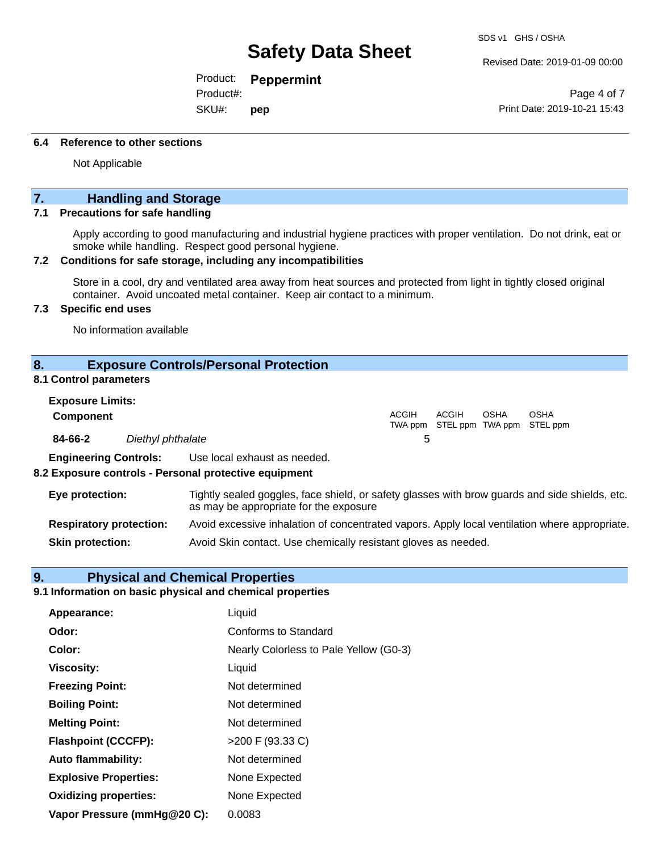Revised Date: 2019-01-09 00:00

OSHA STEL ppm

Product: **Peppermint**

Product#:

SKU#: **pep**

Page 4 of 7 Print Date: 2019-10-21 15:43

#### **6.4 Reference to other sections**

Not Applicable

### **7. Handling and Storage**

#### **7.1 Precautions for safe handling**

Apply according to good manufacturing and industrial hygiene practices with proper ventilation. Do not drink, eat or smoke while handling. Respect good personal hygiene.

#### **7.2 Conditions for safe storage, including any incompatibilities**

Store in a cool, dry and ventilated area away from heat sources and protected from light in tightly closed original container. Avoid uncoated metal container. Keep air contact to a minimum.

#### **7.3 Specific end uses**

No information available

#### **8. Exposure Controls/Personal Protection**

#### **8.1 Control parameters**

| <b>Exposure Limits:</b>      |                   |                              |       |                                   |             |
|------------------------------|-------------------|------------------------------|-------|-----------------------------------|-------------|
| <b>Component</b>             |                   |                              | ACGIH | ACGIH<br>TWA ppm STEL ppm TWA ppm | <b>OSHA</b> |
| 84-66-2                      | Diethyl phthalate |                              | b     |                                   |             |
| <b>Engineering Controls:</b> |                   | Use local exhaust as needed. |       |                                   |             |

#### **8.2 Exposure controls - Personal protective equipment**

| Eye protection:                | Tightly sealed goggles, face shield, or safety glasses with brow guards and side shields, etc.<br>as may be appropriate for the exposure |
|--------------------------------|------------------------------------------------------------------------------------------------------------------------------------------|
| <b>Respiratory protection:</b> | Avoid excessive inhalation of concentrated vapors. Apply local ventilation where appropriate.                                            |
| <b>Skin protection:</b>        | Avoid Skin contact. Use chemically resistant gloves as needed.                                                                           |

#### **9. Physical and Chemical Properties**

#### **9.1 Information on basic physical and chemical properties**

| Liquid                                 |
|----------------------------------------|
| Conforms to Standard                   |
| Nearly Colorless to Pale Yellow (G0-3) |
| Liquid                                 |
| Not determined                         |
| Not determined                         |
| Not determined                         |
| >200 F (93.33 C)                       |
| Not determined                         |
| None Expected                          |
| None Expected                          |
| 0.0083                                 |
|                                        |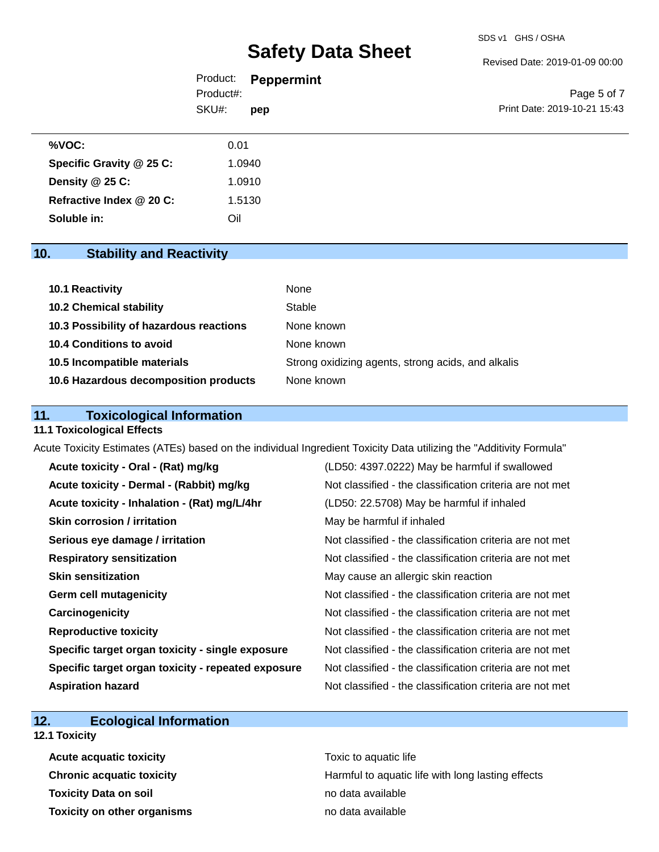Revised Date: 2019-01-09 00:00

|           | Product: <b>Peppermint</b> |                              |
|-----------|----------------------------|------------------------------|
| Product#: |                            | Page 5 of 7                  |
| SKU#:     | pep                        | Print Date: 2019-10-21 15:43 |
|           |                            |                              |

| %VOC:                    | 0.01   |
|--------------------------|--------|
| Specific Gravity @ 25 C: | 1.0940 |
| Density @ 25 C:          | 1.0910 |
| Refractive Index @ 20 C: | 1.5130 |
| Soluble in:              | Oil    |

### **10. Stability and Reactivity**

| 10.1 Reactivity                         | None                                               |
|-----------------------------------------|----------------------------------------------------|
| <b>10.2 Chemical stability</b>          | Stable                                             |
| 10.3 Possibility of hazardous reactions | None known                                         |
| 10.4 Conditions to avoid                | None known                                         |
| 10.5 Incompatible materials             | Strong oxidizing agents, strong acids, and alkalis |
| 10.6 Hazardous decomposition products   | None known                                         |

### **11. Toxicological Information**

#### **11.1 Toxicological Effects**

Acute Toxicity Estimates (ATEs) based on the individual Ingredient Toxicity Data utilizing the "Additivity Formula"

| Acute toxicity - Oral - (Rat) mg/kg                | (LD50: 4397.0222) May be harmful if swallowed            |
|----------------------------------------------------|----------------------------------------------------------|
| Acute toxicity - Dermal - (Rabbit) mg/kg           | Not classified - the classification criteria are not met |
| Acute toxicity - Inhalation - (Rat) mg/L/4hr       | (LD50: 22.5708) May be harmful if inhaled                |
| <b>Skin corrosion / irritation</b>                 | May be harmful if inhaled                                |
| Serious eye damage / irritation                    | Not classified - the classification criteria are not met |
| <b>Respiratory sensitization</b>                   | Not classified - the classification criteria are not met |
| <b>Skin sensitization</b>                          | May cause an allergic skin reaction                      |
| <b>Germ cell mutagenicity</b>                      | Not classified - the classification criteria are not met |
| Carcinogenicity                                    | Not classified - the classification criteria are not met |
| <b>Reproductive toxicity</b>                       | Not classified - the classification criteria are not met |
| Specific target organ toxicity - single exposure   | Not classified - the classification criteria are not met |
| Specific target organ toxicity - repeated exposure | Not classified - the classification criteria are not met |
| <b>Aspiration hazard</b>                           | Not classified - the classification criteria are not met |

### **12. Ecological Information**

## **12.1 Toxicity**

**Acute acquatic toxicity Toxic to aquatic life Toxicity Data on soil no data available no data available Toxicity on other organisms no data available** 

**Chronic acquatic toxicity Harmful to aquatic life with long lasting effects**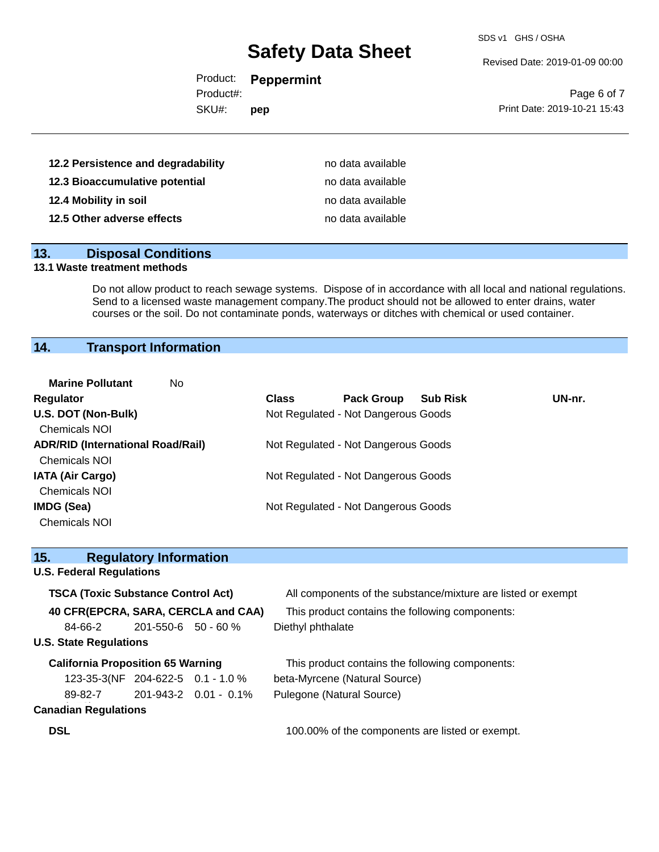SDS v1 GHS / OSHA

Revised Date: 2019-01-09 00:00

| Product:  | <b>Peppermint</b> |
|-----------|-------------------|
| Product#: |                   |

SKU#: **pep**

Page 6 of 7 Print Date: 2019-10-21 15:43

| 12.2 Persistence and degradability | no data available |
|------------------------------------|-------------------|
| 12.3 Bioaccumulative potential     | no data available |
| 12.4 Mobility in soil              | no data available |
| 12.5 Other adverse effects         | no data available |

### **13. Disposal Conditions**

#### **13.1 Waste treatment methods**

Do not allow product to reach sewage systems. Dispose of in accordance with all local and national regulations. Send to a licensed waste management company.The product should not be allowed to enter drains, water courses or the soil. Do not contaminate ponds, waterways or ditches with chemical or used container.

# **14. Transport Information**

| <b>Marine Pollutant</b><br>No.           |              |                                     |                 |        |
|------------------------------------------|--------------|-------------------------------------|-----------------|--------|
| <b>Regulator</b>                         | <b>Class</b> | <b>Pack Group</b>                   | <b>Sub Risk</b> | UN-nr. |
| U.S. DOT (Non-Bulk)                      |              | Not Regulated - Not Dangerous Goods |                 |        |
| <b>Chemicals NOI</b>                     |              |                                     |                 |        |
| <b>ADR/RID (International Road/Rail)</b> |              | Not Regulated - Not Dangerous Goods |                 |        |
| <b>Chemicals NOI</b>                     |              |                                     |                 |        |
| <b>IATA (Air Cargo)</b>                  |              | Not Regulated - Not Dangerous Goods |                 |        |
| <b>Chemicals NOI</b>                     |              |                                     |                 |        |
| IMDG (Sea)                               |              | Not Regulated - Not Dangerous Goods |                 |        |
| <b>Chemicals NOI</b>                     |              |                                     |                 |        |

| 15.                                       | <b>Regulatory Information</b> |                        |                                                              |
|-------------------------------------------|-------------------------------|------------------------|--------------------------------------------------------------|
| <b>U.S. Federal Regulations</b>           |                               |                        |                                                              |
| <b>TSCA (Toxic Substance Control Act)</b> |                               |                        | All components of the substance/mixture are listed or exempt |
| 40 CFR(EPCRA, SARA, CERCLA and CAA)       |                               |                        | This product contains the following components:              |
| 84-66-2                                   | $201 - 550 - 6$ 50 - 60 %     |                        | Diethyl phthalate                                            |
| <b>U.S. State Regulations</b>             |                               |                        |                                                              |
| <b>California Proposition 65 Warning</b>  |                               |                        | This product contains the following components:              |
| 123-35-3(NF 204-622-5 0.1 - 1.0 %         |                               |                        | beta-Myrcene (Natural Source)                                |
| 89-82-7                                   |                               | 201-943-2  0.01 - 0.1% | Pulegone (Natural Source)                                    |
| <b>Canadian Regulations</b>               |                               |                        |                                                              |
| <b>DSL</b>                                |                               |                        | 100.00% of the components are listed or exempt.              |